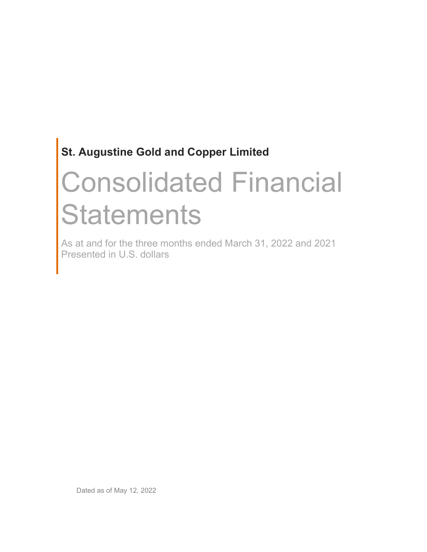# Consolidated Financial **Statements**

As at and for the three months ended March 31, 2022 and 2021 Presented in U.S. dollars

Dated as of May 12, 2022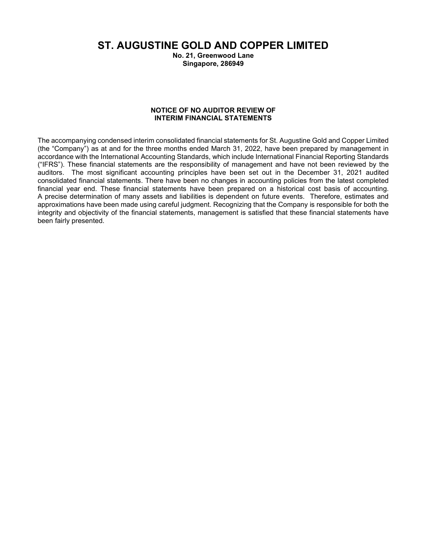ST. AUGUSTINE GOLD AND COPPER LIMITED

No. 21, Greenwood Lane Singapore, 286949

#### NOTICE OF NO AUDITOR REVIEW OF INTERIM FINANCIAL STATEMENTS

The accompanying condensed interim consolidated financial statements for St. Augustine Gold and Copper Limited (the "Company") as at and for the three months ended March 31, 2022, have been prepared by management in accordance with the International Accounting Standards, which include International Financial Reporting Standards ("IFRS"). These financial statements are the responsibility of management and have not been reviewed by the auditors. The most significant accounting principles have been set out in the December 31, 2021 audited consolidated financial statements. There have been no changes in accounting policies from the latest completed financial year end. These financial statements have been prepared on a historical cost basis of accounting. A precise determination of many assets and liabilities is dependent on future events. Therefore, estimates and approximations have been made using careful judgment. Recognizing that the Company is responsible for both the integrity and objectivity of the financial statements, management is satisfied that these financial statements have been fairly presented.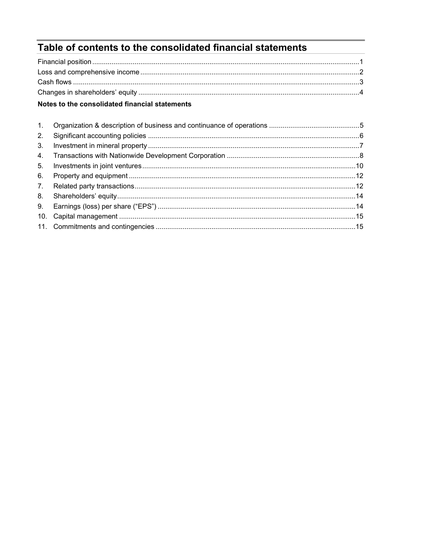# Table of contents to the consolidated financial statements

# Notes to the consolidated financial statements

| 2.             |  |
|----------------|--|
| 3 <sub>1</sub> |  |
|                |  |
| 5.             |  |
| 6.             |  |
| 7.             |  |
| 8.             |  |
| 9.             |  |
|                |  |
|                |  |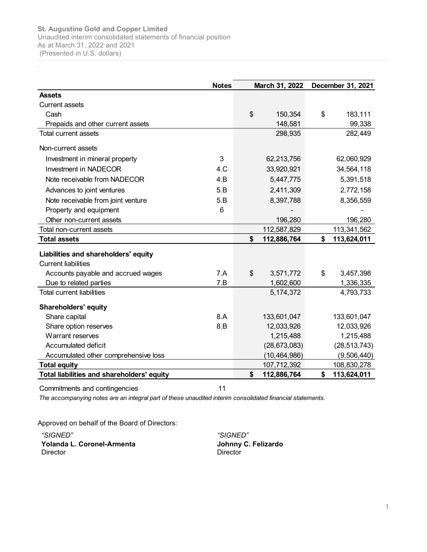Notes March 31, 2022 December 31, 2021 Assets Current assets Augustine Gold and Copper Limited<br>
audited interim consolidated statements of financial position<br>
at March 31, 2022 and 2021<br>
resented in U.S. dollars)<br> **Notes**<br> **Notes**<br> **Notes**<br> **Notes**<br> **Notes**<br> **Rarch 31, 2022 December** 8t. Augustine Gold and Copper Limited<br>
Anaudited interim consolidated statements of financial position<br>
(Presented in U.S. dollars)<br> **Assets**<br> **Assets**<br>
Current assets<br>
Cash<br> **Prepaids and other current assets**<br> **Prepaids** <table>\n<tbody>\n<tr>\n<th>Augustine Gold and Copper Limited</th>\n</tr>\n<tr>\n<td>audiled information consolidated statements of financial position</td>\n</tr>\n<tr>\n<td>at March 31, 2022 and 2021</td>\n</tr>\n<tr>\n<td>presented in U.S. dollars)</td>\n</tr>\n<tr>\n<td>Stestes</td>\n<td>Notes</td>\n<td>March 31, 2022</td>\n</tr>\n<tr>\n<td>Desents</td>\n<td>Case</td>\n</tr>\n<tr>\n<td>Cash</td>\n<td>S</td>\n<td>183,111</td>\n</tr>\n<tr>\n<td>Prepaids and other current assets</td>\n<td>S</td>\n<td>199 <table>\n<tbody>\n<tr>\n<th>Augustine Gold and Copper Limited</th>\n</tr>\n<tr>\n<td>additional information, and Richard, 31, 2022 and 2021</td>\n</tr>\n<tr>\n<td>additional information, 10, 20, 2 and 2021</td>\n</tr>\n<tr>\n<td>Second as the second order current assets</td>\n</tr>\n<tr>\n<td>1</td>\n<td>1</td>\n</tr>\n<tr>\n<td>1</td>\n<td>1</td>\n</tr>\n<tr>\n<td>1</td>\n<td>1</td>\n</tr>\n<tr>\n<td>1</td>\n<td>1</td>\n</tr>\n<tr>\n<td>1</td>\n<td>1</td>\n</tr>\n<tr>\n<td> <table>\n<tbody>\n<tr>\n<th>Augustine Gold and Copper Limited</th>\n</tr>\n<tr>\n<td>at March 31, 2022 and 2021</td>\n</tr>\n<tr>\n<td>at March 31, 2022</td>\n</tr>\n<tr>\n<td>at March 31, 2022</td>\n</tr>\n<tr>\n<td>Desented in U.S. dollars</td>\n</tr>\n<tr>\n<td>3</td>\n</tr>\n<tr>\n<td>3</td>\n</tr>\n<tr>\n<td>3</td>\n</tr>\n<tr>\n<td>3</td>\n</tr>\n<tr>\n<td>3</td>\n</tr>\n<tr>\n<td>3</td>\n</tr>\n<tr>\n<td>3</td>\n</tr>\ 9. Augustine Gold and Copper Limited in Copper Limited and Copper Limited in the Current assets 196,281 March 31, 2022 and 2021<br>
Assets 196,280 196,280 196,280 196,280 196,280 114,2022 196,280 197,2022 196,280 197,2022 196 Liabilities and shareholders' equity Current liabilities seets<br>
Cash<br>
Cash<br>
Cash<br>
Cash<br>
Cash<br>
Cash<br>
Cash<br>
In current assets<br>
Investment in mineral property<br>
In current assets<br>
Investment in mineral property<br>
Investment in MADECOR<br>
Acknaces to joint ventures<br>
Note receivable from Current assets<br>
Cash Cash and other current assets<br>
Total current assets<br>
Non-current assets<br>
Investment in mineral property<br>
Investment in mineral property<br>
Investment in mineral property<br>
Investment in mineral property<br> violitical minimizes of the current assets<br>
Investment in minimize property<br>
Investment in minimize property<br>
Non-current assets<br>
None recolved be from NADECOR<br>
A Computer and Content assets<br>
A Computer and Content assets<br> Property and equipment<br>
Commitments and continents assets<br>
Commitment assets<br>
Commitment assets<br>
Commitment assets<br>
Commitment assets<br>
Commitment assets<br>
Commitment and shareholdcers' equity<br>
Current liabilities<br>
Current l

The accompanying notes are an integral part of these unaudited interim consolidated financial statements.

Approved on behalf of the Board of Directors:

"SIGNED" "SIGNED" Yolanda L. Coronel-Armenta **Director** 

Johnny C. Felizardo **Director**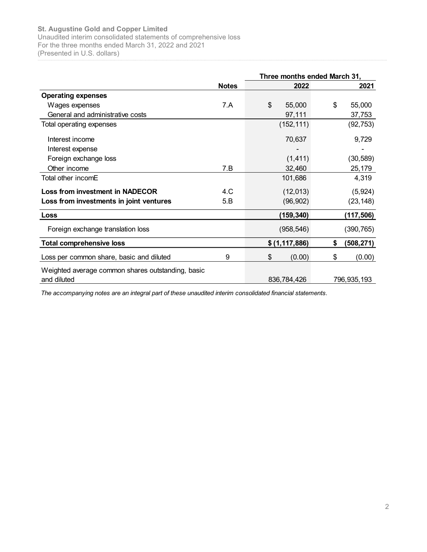|                                                                                               |              | Three months ended March 31, |                  |
|-----------------------------------------------------------------------------------------------|--------------|------------------------------|------------------|
|                                                                                               | <b>Notes</b> | 2022                         | 2021             |
| <b>Operating expenses</b>                                                                     | 7.A          | \$<br>55,000                 | 55,000<br>\$     |
| Wages expenses<br>General and administrative costs                                            |              | 97,111                       | 37,753           |
| Total operating expenses                                                                      |              | (152, 111)                   | (92, 753)        |
|                                                                                               |              |                              |                  |
| Interest income                                                                               |              | 70,637                       | 9,729            |
| Interest expense                                                                              |              |                              |                  |
| Foreign exchange loss                                                                         |              | (1, 411)                     | (30, 589)        |
| Other income                                                                                  | 7.B          | 32,460                       | 25,179           |
| Total other incomE                                                                            |              | 101,686                      | 4,319            |
| <b>Loss from investment in NADECOR</b>                                                        | 4.C          | (12, 013)                    | (5,924)          |
| Loss from investments in joint ventures                                                       | 5.B          | (96, 902)                    | (23, 148)        |
| Loss                                                                                          |              | (159, 340)                   | (117, 506)       |
| Foreign exchange translation loss                                                             |              | (958, 546)                   | (390, 765)       |
| <b>Total comprehensive loss</b>                                                               |              | \$ (1, 117, 886)             | \$<br>(508, 271) |
|                                                                                               | 9            | \$<br>(0.00)                 | \$<br>(0.00)     |
|                                                                                               |              |                              |                  |
| Loss per common share, basic and diluted<br>Weighted average common shares outstanding, basic |              |                              |                  |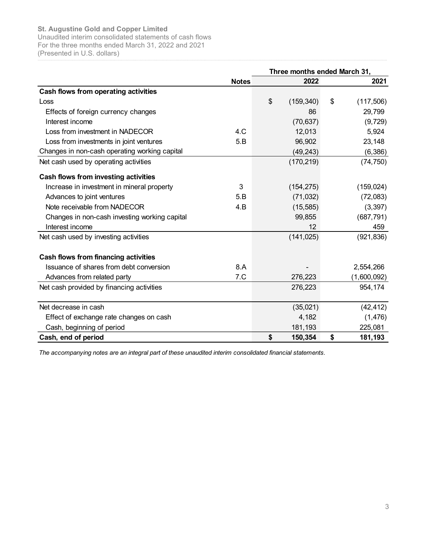| (Presented in U.S. dollars)                   | Unaudited interim consolidated statements of cash flows | Three months ended March 31, |                 |
|-----------------------------------------------|---------------------------------------------------------|------------------------------|-----------------|
|                                               | <b>Notes</b>                                            | 2022                         | 2021            |
| Cash flows from operating activities          |                                                         |                              |                 |
| Loss                                          |                                                         | \$<br>(159, 340)             | \$<br>(117,506) |
| Effects of foreign currency changes           |                                                         | 86                           | 29,799          |
| Interest income                               |                                                         | (70, 637)                    | (9, 729)        |
| Loss from investment in NADECOR               | 4.C                                                     | 12,013                       | 5,924           |
| Loss from investments in joint ventures       | 5.B                                                     | 96,902                       | 23,148          |
| Changes in non-cash operating working capital |                                                         | (49, 243)                    | (6, 386)        |
| Net cash used by operating activities         |                                                         | (170, 219)                   | (74, 750)       |
| Cash flows from investing activities          |                                                         |                              |                 |
| Increase in investment in mineral property    | 3                                                       | (154, 275)                   | (159, 024)      |
| Advances to joint ventures                    | 5.B                                                     | (71, 032)                    | (72,083)        |
| Note receivable from NADECOR                  | 4.B                                                     | (15, 585)                    | (3, 397)        |
| Changes in non-cash investing working capital |                                                         | 99,855                       | (687, 791)      |
| Interest income                               |                                                         | 12                           | 459             |
| Net cash used by investing activities         |                                                         | (141, 025)                   | (921, 836)      |
| Cash flows from financing activities          |                                                         |                              |                 |
| Issuance of shares from debt conversion       | 8.A                                                     |                              | 2,554,266       |
| Advances from related party                   | 7.C                                                     | 276,223                      | (1,600,092)     |
| Net cash provided by financing activities     |                                                         | 276,223                      | 954,174         |
| Net decrease in cash                          |                                                         | (35,021)                     | (42, 412)       |
| Effect of exchange rate changes on cash       |                                                         | 4,182                        | (1, 476)        |
| Cash, beginning of period                     |                                                         | 181,193                      | 225,081         |
| Cash, end of period                           |                                                         | \$<br>150,354                | \$<br>181,193   |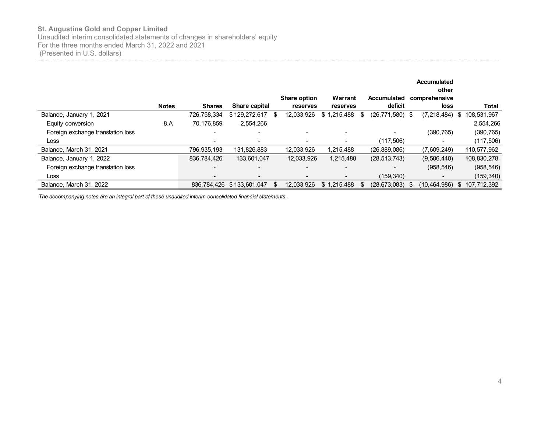| For the three months ended March 31, 2022 and 2021<br>(Presented in U.S. dollars) |              |                              |                                    |                        |                                |                                |                                              |                                            |
|-----------------------------------------------------------------------------------|--------------|------------------------------|------------------------------------|------------------------|--------------------------------|--------------------------------|----------------------------------------------|--------------------------------------------|
|                                                                                   |              |                              |                                    | Share option           | Warrant                        | <b>Accumulated</b>             | <b>Accumulated</b><br>other<br>comprehensive |                                            |
| Balance, January 1, 2021                                                          | <b>Notes</b> | <b>Shares</b><br>726,758,334 | Share capital<br>$$129,272,617$ \$ | reserves<br>12,033,926 | reserves<br>\$1,215,488<br>-\$ | deficit<br>$(26, 771, 580)$ \$ | loss                                         | <b>Total</b><br>(7,218,484) \$ 108,531,967 |
|                                                                                   |              | 70,176,859                   | 2,554,266                          |                        |                                |                                |                                              | 2,554,266                                  |
|                                                                                   |              |                              |                                    |                        |                                |                                |                                              |                                            |
| Equity conversion                                                                 | 8.A          |                              |                                    |                        |                                |                                |                                              |                                            |
| Foreign exchange translation loss<br>Loss                                         |              |                              |                                    |                        |                                |                                | (390, 765)                                   | (390, 765)                                 |
| Balance, March 31, 2021                                                           |              | 796,935,193                  | 131,826,883                        | 12,033,926             | 1,215,488                      | (117, 506)<br>(26, 889, 086)   | (7,609,249)                                  | (117, 506)<br>110,577,962                  |
| Balance, January 1, 2022                                                          |              | 836,784,426                  | 133,601,047                        | 12,033,926             | 1,215,488                      | (28, 513, 743)                 | (9,506,440)                                  | 108,830,278                                |
| Foreign exchange translation loss                                                 |              | $\overline{\phantom{a}}$     |                                    |                        |                                | $\blacksquare$                 | (958, 546)                                   | (958, 546)                                 |
| Loss                                                                              |              | $\overline{\phantom{a}}$     |                                    |                        |                                | (159, 340)                     |                                              | (159, 340)                                 |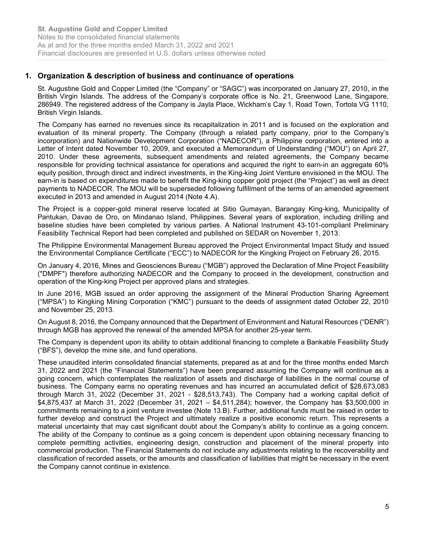# 1. Organization & description of business and continuance of operations

St. Augustine Gold and Copper Limited (the "Company" or "SAGC") was incorporated on January 27, 2010, in the British Virgin Islands. The address of the Company's corporate office is No. 21, Greenwood Lane, Singapore, 286949. The registered address of the Company is Jayla Place, Wickham's Cay 1, Road Town, Tortola VG 1110, British Virgin Islands.

The Company has earned no revenues since its recapitalization in 2011 and is focused on the exploration and evaluation of its mineral property. The Company (through a related party company, prior to the Company's incorporation) and Nationwide Development Corporation ("NADECOR"), a Philippine corporation, entered into a Letter of Intent dated November 10, 2009, and executed a Memorandum of Understanding ("MOU") on April 27, 2010. Under these agreements, subsequent amendments and related agreements, the Company became responsible for providing technical assistance for operations and acquired the right to earn-in an aggregate 60% equity position, through direct and indirect investments, in the King-king Joint Venture envisioned in the MOU. The earn-in is based on expenditures made to benefit the King-king copper gold project (the "Project") as well as direct payments to NADECOR. The MOU will be superseded following fulfillment of the terms of an amended agreement executed in 2013 and amended in August 2014 (Note 4.A).

The Project is a copper-gold mineral reserve located at Sitio Gumayan, Barangay King-king, Municipality of Pantukan, Davao de Oro, on Mindanao Island, Philippines. Several years of exploration, including drilling and baseline studies have been completed by various parties. A National Instrument 43-101-compliant Preliminary Feasibility Technical Report had been completed and published on SEDAR on November 1, 2013.

The Philippine Environmental Management Bureau approved the Project Environmental Impact Study and issued the Environmental Compliance Certificate ("ECC") to NADECOR for the Kingking Project on February 26, 2015.

On January 4, 2016, Mines and Geosciences Bureau ("MGB") approved the Declaration of Mine Project Feasibility ("DMPF") therefore authorizing NADECOR and the Company to proceed in the development, construction and operation of the King-king Project per approved plans and strategies.

In June 2016, MGB issued an order approving the assignment of the Mineral Production Sharing Agreement ("MPSA") to Kingking Mining Corporation ("KMC") pursuant to the deeds of assignment dated October 22, 2010 and November 25, 2013.

On August 8, 2016, the Company announced that the Department of Environment and Natural Resources ("DENR") through MGB has approved the renewal of the amended MPSA for another 25-year term.

The Company is dependent upon its ability to obtain additional financing to complete a Bankable Feasibility Study ("BFS"), develop the mine site, and fund operations.

These unaudited interim consolidated financial statements, prepared as at and for the three months ended March 31, 2022 and 2021 (the "Financial Statements") have been prepared assuming the Company will continue as a going concern, which contemplates the realization of assets and discharge of liabilities in the normal course of business. The Company earns no operating revenues and has incurred an accumulated deficit of \$28,673,083 through March 31, 2022 (December 31, 2021 - \$28,513,743). The Company had a working capital deficit of \$4,875,437 at March 31, 2022 (December 31, 2021 – \$4,511,284); however, the Company has \$3,500,000 in commitments remaining to a joint venture investee (Note 13.B). Further, additional funds must be raised in order to further develop and construct the Project and ultimately realize a positive economic return. This represents a material uncertainty that may cast significant doubt about the Company's ability to continue as a going concern. The ability of the Company to continue as a going concern is dependent upon obtaining necessary financing to complete permitting activities, engineering design, construction and placement of the mineral property into commercial production. The Financial Statements do not include any adjustments relating to the recoverability and classification of recorded assets, or the amounts and classification of liabilities that might be necessary in the event the Company cannot continue in existence.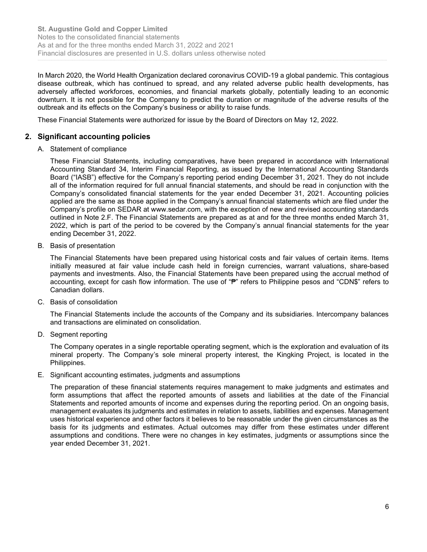In March 2020, the World Health Organization declared coronavirus COVID-19 a global pandemic. This contagious disease outbreak, which has continued to spread, and any related adverse public health developments, has adversely affected workforces, economies, and financial markets globally, potentially leading to an economic downturn. It is not possible for the Company to predict the duration or magnitude of the adverse results of the outbreak and its effects on the Company's business or ability to raise funds.

These Financial Statements were authorized for issue by the Board of Directors on May 12, 2022.

# 2. Significant accounting policies

A. Statement of compliance

These Financial Statements, including comparatives, have been prepared in accordance with International Accounting Standard 34, Interim Financial Reporting, as issued by the International Accounting Standards Board ("IASB") effective for the Company's reporting period ending December 31, 2021. They do not include all of the information required for full annual financial statements, and should be read in conjunction with the Company's consolidated financial statements for the year ended December 31, 2021. Accounting policies applied are the same as those applied in the Company's annual financial statements which are filed under the Company's profile on SEDAR at www.sedar.com, with the exception of new and revised accounting standards outlined in Note 2.F. The Financial Statements are prepared as at and for the three months ended March 31, 2022, which is part of the period to be covered by the Company's annual financial statements for the year ending December 31, 2022.

B. Basis of presentation

The Financial Statements have been prepared using historical costs and fair values of certain items. Items initially measured at fair value include cash held in foreign currencies, warrant valuations, share-based payments and investments. Also, the Financial Statements have been prepared using the accrual method of accounting, except for cash flow information. The use of "₱" refers to Philippine pesos and "CDN\$" refers to Canadian dollars.

C. Basis of consolidation

The Financial Statements include the accounts of the Company and its subsidiaries. Intercompany balances and transactions are eliminated on consolidation.

D. Segment reporting

The Company operates in a single reportable operating segment, which is the exploration and evaluation of its mineral property. The Company's sole mineral property interest, the Kingking Project, is located in the Philippines.

E. Significant accounting estimates, judgments and assumptions

The preparation of these financial statements requires management to make judgments and estimates and form assumptions that affect the reported amounts of assets and liabilities at the date of the Financial Statements and reported amounts of income and expenses during the reporting period. On an ongoing basis, management evaluates its judgments and estimates in relation to assets, liabilities and expenses. Management uses historical experience and other factors it believes to be reasonable under the given circumstances as the basis for its judgments and estimates. Actual outcomes may differ from these estimates under different assumptions and conditions. There were no changes in key estimates, judgments or assumptions since the year ended December 31, 2021.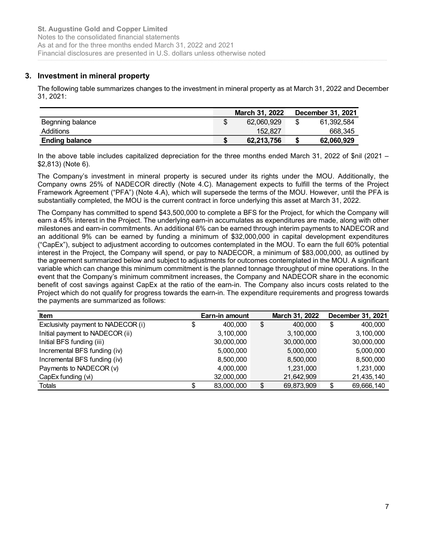# 3. Investment in mineral property

| <b>St. Augustine Gold and Copper Limited</b>                                                                                |                                    |                                       |
|-----------------------------------------------------------------------------------------------------------------------------|------------------------------------|---------------------------------------|
|                                                                                                                             |                                    |                                       |
|                                                                                                                             |                                    |                                       |
|                                                                                                                             |                                    |                                       |
|                                                                                                                             |                                    |                                       |
|                                                                                                                             |                                    |                                       |
| Notes to the consolidated financial statements<br>As at and for the three months ended March 31, 2022 and 2021              |                                    |                                       |
| Financial disclosures are presented in U.S. dollars unless otherwise noted                                                  |                                    |                                       |
|                                                                                                                             |                                    |                                       |
| <b>Investment in mineral property</b>                                                                                       |                                    |                                       |
|                                                                                                                             |                                    |                                       |
| The following table summarizes changes to the investment in mineral property as at March 31, 2022 and December<br>31, 2021: |                                    |                                       |
|                                                                                                                             |                                    |                                       |
| Begnning balance                                                                                                            | \$<br>March 31, 2022<br>62,060,929 | \$<br>December 31, 2021<br>61,392,584 |
| Additions                                                                                                                   | 152,827                            | 668,345                               |

The Company's investment in mineral property is secured under its rights under the MOU. Additionally, the Company owns 25% of NADECOR directly (Note 4.C). Management expects to fulfill the terms of the Project Framework Agreement ("PFA") (Note 4.A), which will supersede the terms of the MOU. However, until the PFA is substantially completed, the MOU is the current contract in force underlying this asset at March 31, 2022.

The Company has committed to spend \$43,500,000 to complete a BFS for the Project, for which the Company will earn a 45% interest in the Project. The underlying earn-in accumulates as expenditures are made, along with other milestones and earn-in commitments. An additional 6% can be earned through interim payments to NADECOR and an additional 9% can be earned by funding a minimum of \$32,000,000 in capital development expenditures ("CapEx"), subject to adjustment according to outcomes contemplated in the MOU. To earn the full 60% potential interest in the Project, the Company will spend, or pay to NADECOR, a minimum of \$83,000,000, as outlined by the agreement summarized below and subject to adjustments for outcomes contemplated in the MOU. A significant variable which can change this minimum commitment is the planned tonnage throughput of mine operations. In the event that the Company's minimum commitment increases, the Company and NADECOR share in the economic benefit of cost savings against CapEx at the ratio of the earn-in. The Company also incurs costs related to the Project which do not qualify for progress towards the earn-in. The expenditure requirements and progress towards the payments are summarized as follows: Exclusive that to the includes capitalized depreciation for the three months ended March 31, 2022 of \$nil (2021 –<br>
I. the chompany sinvestment in mineral property is secured under its rights under the NOU. Additionally, t n the above table includes capitalized depreciation for the three months ended March 31, 2022 of Snil (2021 = 2.438) (SNet 6).<br>The Company's investment in mineral property is secured under its rights under the MOU. Additio **EX.** B73) (Note 6),<br>
The Company sinvestment in mineral property is secured under its rights under the MOU. Additionally, the<br>
Tompany owns 25% of NADECOR directly (Note 4.C). Management expects to fulfill the terms of t The Company's investment in mineral property is secured under its rights under the MOU. Additionally, the Company owns 26% of MADECOR direct Princrement expects to fulfill the terms of the Project framework Agreement ("PF Incremental BFS funding in a property is secured with constrained in the work and the must constrained the must constrained the terms of the Frontier and the Property Appeared the terms of the Frontier and the Frontier an Framework Agreement (PrEAT) (Note 4.A), which will supersede the ferms of the MOU. However, until the PFA is<br>
substantially completed, the MOU is the current contract in force underlying this asset at March 31, 2022<br>
In substantially completed, the MOU is the current contract in force underlying this asset at March 31, 2022.<br>
The Company has commutiled to spend \$45,500,000 to complete a BFS for the Project, for which the Company will<br>
The

| <b>Item</b>                        | Earn-in amount |   | March 31, 2022 |   | December 31, 2021 |
|------------------------------------|----------------|---|----------------|---|-------------------|
| Exclusivity payment to NADECOR (i) | 400.000        | S | 400,000        | S | 400.000           |
| Initial payment to NADECOR (ii)    | 3,100,000      |   | 3.100.000      |   | 3,100,000         |
| Initial BFS funding (iii)          | 30,000,000     |   | 30,000,000     |   | 30,000,000        |
| Incremental BFS funding (iv)       | 5,000,000      |   | 5,000,000      |   | 5,000,000         |
| Incremental BFS funding (iv)       | 8,500,000      |   | 8.500.000      |   | 8,500,000         |
| Payments to NADECOR (v)            | 4,000,000      |   | 1.231.000      |   | 1,231,000         |
| CapEx funding (vi)                 | 32,000,000     |   | 21,642,909     |   | 21,435,140        |
| Totals                             | 83,000,000     |   | 69,873,909     |   | 69,666,140        |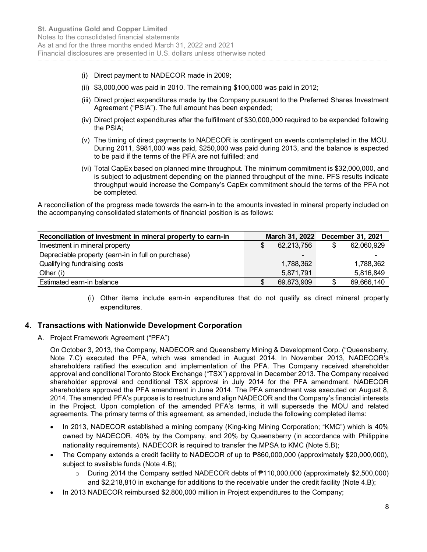- (i) Direct payment to NADECOR made in 2009;
- (ii) \$3,000,000 was paid in 2010. The remaining \$100,000 was paid in 2012;
- (iii) Direct project expenditures made by the Company pursuant to the Preferred Shares Investment Agreement ("PSIA"). The full amount has been expended;
- (iv) Direct project expenditures after the fulfillment of \$30,000,000 required to be expended following the PSIA;
- (v) The timing of direct payments to NADECOR is contingent on events contemplated in the MOU. During 2011, \$981,000 was paid, \$250,000 was paid during 2013, and the balance is expected to be paid if the terms of the PFA are not fulfilled; and
- (vi) Total CapEx based on planned mine throughput. The minimum commitment is \$32,000,000, and is subject to adjustment depending on the planned throughput of the mine. PFS results indicate throughput would increase the Company's CapEx commitment should the terms of the PFA not be completed.

|                                                                               | \$3,000,000 was paid in 2010. The remaining \$100,000 was paid in 2012; |                                                        |                                                                                                                                                                                                                                                                                                                                                                                                                                                                                                                                                                                                                                                                                                                                                                                                                                     |
|-------------------------------------------------------------------------------|-------------------------------------------------------------------------|--------------------------------------------------------|-------------------------------------------------------------------------------------------------------------------------------------------------------------------------------------------------------------------------------------------------------------------------------------------------------------------------------------------------------------------------------------------------------------------------------------------------------------------------------------------------------------------------------------------------------------------------------------------------------------------------------------------------------------------------------------------------------------------------------------------------------------------------------------------------------------------------------------|
|                                                                               |                                                                         |                                                        |                                                                                                                                                                                                                                                                                                                                                                                                                                                                                                                                                                                                                                                                                                                                                                                                                                     |
|                                                                               |                                                                         |                                                        |                                                                                                                                                                                                                                                                                                                                                                                                                                                                                                                                                                                                                                                                                                                                                                                                                                     |
| to be paid if the terms of the PFA are not fulfilled; and                     |                                                                         |                                                        |                                                                                                                                                                                                                                                                                                                                                                                                                                                                                                                                                                                                                                                                                                                                                                                                                                     |
|                                                                               |                                                                         |                                                        |                                                                                                                                                                                                                                                                                                                                                                                                                                                                                                                                                                                                                                                                                                                                                                                                                                     |
|                                                                               |                                                                         |                                                        |                                                                                                                                                                                                                                                                                                                                                                                                                                                                                                                                                                                                                                                                                                                                                                                                                                     |
| the accompanying consolidated statements of financial position is as follows: |                                                                         |                                                        |                                                                                                                                                                                                                                                                                                                                                                                                                                                                                                                                                                                                                                                                                                                                                                                                                                     |
|                                                                               | March 31, 2022                                                          |                                                        | December 31, 2021                                                                                                                                                                                                                                                                                                                                                                                                                                                                                                                                                                                                                                                                                                                                                                                                                   |
| \$                                                                            | 62,213,756                                                              | \$                                                     | 62,060,929                                                                                                                                                                                                                                                                                                                                                                                                                                                                                                                                                                                                                                                                                                                                                                                                                          |
|                                                                               |                                                                         |                                                        |                                                                                                                                                                                                                                                                                                                                                                                                                                                                                                                                                                                                                                                                                                                                                                                                                                     |
|                                                                               | 1,788,362<br>5,871,791                                                  |                                                        | 1,788,362<br>5,816,849                                                                                                                                                                                                                                                                                                                                                                                                                                                                                                                                                                                                                                                                                                                                                                                                              |
|                                                                               |                                                                         | Agreement ("PSIA"). The full amount has been expended; | (iii) Direct project expenditures made by the Company pursuant to the Preferred Shares Investment<br>(iv) Direct project expenditures after the fulfillment of \$30,000,000 required to be expended following<br>(v) The timing of direct payments to NADECOR is contingent on events contemplated in the MOU.<br>During 2011, \$981,000 was paid, \$250,000 was paid during 2013, and the balance is expected<br>(vi) Total CapEx based on planned mine throughput. The minimum commitment is \$32,000,000, and<br>is subject to adjustment depending on the planned throughput of the mine. PFS results indicate<br>throughput would increase the Company's CapEx commitment should the terms of the PFA not<br>A reconciliation of the progress made towards the earn-in to the amounts invested in mineral property included on |

# 4. Transactions with Nationwide Development Corporation

A. Project Framework Agreement ("PFA")

On October 3, 2013, the Company, NADECOR and Queensberry Mining & Development Corp. ("Queensberry, Note 7.C) executed the PFA, which was amended in August 2014. In November 2013, NADECOR's shareholders ratified the execution and implementation of the PFA. The Company received shareholder approval and conditional Toronto Stock Exchange ("TSX") approval in December 2013. The Company received shareholder approval and conditional TSX approval in July 2014 for the PFA amendment. NADECOR shareholders approved the PFA amendment in June 2014. The PFA amendment was executed on August 8, 2014. The amended PFA's purpose is to restructure and align NADECOR and the Company's financial interests in the Project. Upon completion of the amended PFA's terms, it will supersede the MOU and related agreements. The primary terms of this agreement, as amended, include the following completed items:

- In 2013, NADECOR established a mining company (King-king Mining Corporation; "KMC") which is 40% owned by NADECOR, 40% by the Company, and 20% by Queensberry (in accordance with Philippine nationality requirements). NADECOR is required to transfer the MPSA to KMC (Note 5.B);
- The Company extends a credit facility to NADECOR of up to ₱860,000,000 (approximately \$20,000,000), subject to available funds (Note 4.B);
	- o During 2014 the Company settled NADECOR debts of ₱110,000,000 (approximately \$2,500,000) and \$2,218,810 in exchange for additions to the receivable under the credit facility (Note 4.B);
- In 2013 NADECOR reimbursed \$2,800,000 million in Project expenditures to the Company;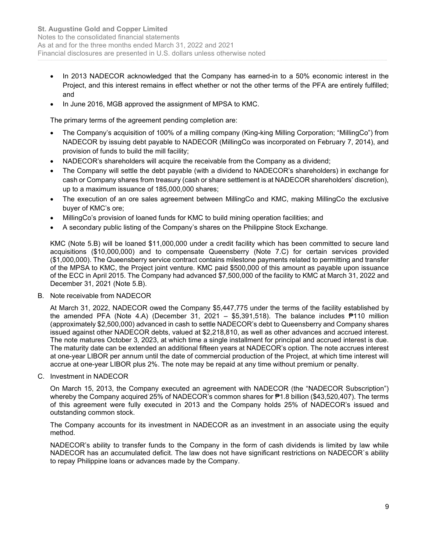- In 2013 NADECOR acknowledged that the Company has earned-in to a 50% economic interest in the Project, and this interest remains in effect whether or not the other terms of the PFA are entirely fulfilled; and
- In June 2016, MGB approved the assignment of MPSA to KMC.

The primary terms of the agreement pending completion are:

- The Company's acquisition of 100% of a milling company (King-king Milling Corporation; "MillingCo") from NADECOR by issuing debt payable to NADECOR (MillingCo was incorporated on February 7, 2014), and provision of funds to build the mill facility;
- NADECOR's shareholders will acquire the receivable from the Company as a dividend;
- The Company will settle the debt payable (with a dividend to NADECOR's shareholders) in exchange for cash or Company shares from treasury (cash or share settlement is at NADECOR shareholders' discretion), up to a maximum issuance of 185,000,000 shares;
- The execution of an ore sales agreement between MillingCo and KMC, making MillingCo the exclusive buyer of KMC's ore;
- MillingCo's provision of loaned funds for KMC to build mining operation facilities; and
- A secondary public listing of the Company's shares on the Philippine Stock Exchange.

KMC (Note 5.B) will be loaned \$11,000,000 under a credit facility which has been committed to secure land acquisitions (\$10,000,000) and to compensate Queensberry (Note 7.C) for certain services provided (\$1,000,000). The Queensberry service contract contains milestone payments related to permitting and transfer of the MPSA to KMC, the Project joint venture. KMC paid \$500,000 of this amount as payable upon issuance of the ECC in April 2015. The Company had advanced \$7,500,000 of the facility to KMC at March 31, 2022 and December 31, 2021 (Note 5.B).

#### B. Note receivable from NADECOR

At March 31, 2022, NADECOR owed the Company \$5,447,775 under the terms of the facility established by the amended PFA (Note 4.A) (December 31, 2021 – \$5,391,518). The balance includes ₱110 million (approximately \$2,500,000) advanced in cash to settle NADECOR's debt to Queensberry and Company shares issued against other NADECOR debts, valued at \$2,218,810, as well as other advances and accrued interest. The note matures October 3, 2023, at which time a single installment for principal and accrued interest is due. The maturity date can be extended an additional fifteen years at NADECOR's option. The note accrues interest at one-year LIBOR per annum until the date of commercial production of the Project, at which time interest will accrue at one-year LIBOR plus 2%. The note may be repaid at any time without premium or penalty.

C. Investment in NADECOR

On March 15, 2013, the Company executed an agreement with NADECOR (the "NADECOR Subscription") whereby the Company acquired 25% of NADECOR's common shares for ₱1.8 billion (\$43,520,407). The terms of this agreement were fully executed in 2013 and the Company holds 25% of NADECOR's issued and outstanding common stock.

The Company accounts for its investment in NADECOR as an investment in an associate using the equity method.

NADECOR's ability to transfer funds to the Company in the form of cash dividends is limited by law while NADECOR has an accumulated deficit. The law does not have significant restrictions on NADECOR`s ability to repay Philippine loans or advances made by the Company.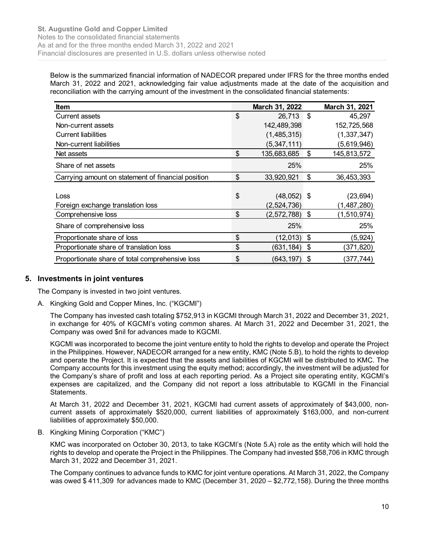| elow is the summarized financial information of NADECOR prepared under IFRS for the three months ended                                                                                                      |       |                                  |                            |
|-------------------------------------------------------------------------------------------------------------------------------------------------------------------------------------------------------------|-------|----------------------------------|----------------------------|
| larch 31, 2022 and 2021, acknowledging fair value adjustments made at the date of the acquisition and<br>econciliation with the carrying amount of the investment in the consolidated financial statements: |       |                                  |                            |
| <b>Item</b><br><b>Current assets</b>                                                                                                                                                                        | \$    | March 31, 2022<br>26,713 \$      | March 31, 2021             |
| Non-current assets                                                                                                                                                                                          |       | 142,489,398                      | 45,297<br>152,725,568      |
| <b>Current liabilities</b>                                                                                                                                                                                  |       | (1,485,315)                      | (1, 337, 347)              |
| Non-current liabilities                                                                                                                                                                                     |       | (5,347,111)                      | (5,619,946)                |
| Net assets                                                                                                                                                                                                  | \$    | 135,683,685 \$                   | 145,813,572                |
|                                                                                                                                                                                                             |       | 25%                              | 25%                        |
| Share of net assets                                                                                                                                                                                         |       |                                  | 36,453,393                 |
| Carrying amount on statement of financial position                                                                                                                                                          | \$    | 33,920,921 \$                    |                            |
| Loss                                                                                                                                                                                                        |       |                                  |                            |
|                                                                                                                                                                                                             | \$    | $(48,052)$ \$<br>(2,524,736)     | (23, 694)                  |
| Foreign exchange translation loss<br>Comprehensive loss                                                                                                                                                     | $\$\$ | $(2,572,788)$ \$                 | (1,487,280)<br>(1,510,974) |
| Share of comprehensive loss                                                                                                                                                                                 |       | 25%                              | 25%                        |
| Proportionate share of loss                                                                                                                                                                                 | \$    |                                  |                            |
| Proportionate share of translation loss                                                                                                                                                                     | \$    | $(12,013)$ \$<br>$(631, 184)$ \$ | (5,924)<br>(371, 820)      |

# 5. Investments in joint ventures

The Company is invested in two joint ventures.

A. Kingking Gold and Copper Mines, Inc. ("KGCMI")

The Company has invested cash totaling \$752,913 in KGCMI through March 31, 2022 and December 31, 2021, in exchange for 40% of KGCMI's voting common shares. At March 31, 2022 and December 31, 2021, the Company was owed \$nil for advances made to KGCMI.

KGCMI was incorporated to become the joint venture entity to hold the rights to develop and operate the Project in the Philippines. However, NADECOR arranged for a new entity, KMC (Note 5.B), to hold the rights to develop and operate the Project. It is expected that the assets and liabilities of KGCMI will be distributed to KMC. The Company accounts for this investment using the equity method; accordingly, the investment will be adjusted for the Company's share of profit and loss at each reporting period. As a Project site operating entity, KGCMI's expenses are capitalized, and the Company did not report a loss attributable to KGCMI in the Financial Statements.

At March 31, 2022 and December 31, 2021, KGCMI had current assets of approximately of \$43,000, noncurrent assets of approximately \$520,000, current liabilities of approximately \$163,000, and non-current liabilities of approximately \$50,000.

B. Kingking Mining Corporation ("KMC")

KMC was incorporated on October 30, 2013, to take KGCMI's (Note 5.A) role as the entity which will hold the rights to develop and operate the Project in the Philippines. The Company had invested \$58,706 in KMC through March 31, 2022 and December 31, 2021.

The Company continues to advance funds to KMC for joint venture operations. At March 31, 2022, the Company was owed \$ 411,309 for advances made to KMC (December 31, 2020 – \$2,772,158). During the three months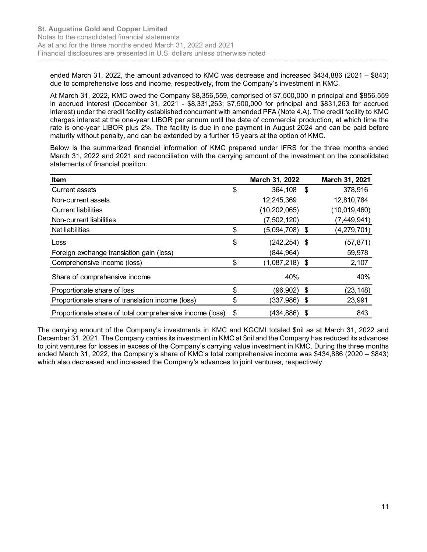| <b>Augustine Gold and Copper Limited</b><br>es to the consolidated financial statements<br>at and for the three months ended March 31, 2022 and 2021<br>ancial disclosures are presented in U.S. dollars unless otherwise noted                                                                                                                                                                                                                                                                                                                                                                                                                                         |                        |                |
|-------------------------------------------------------------------------------------------------------------------------------------------------------------------------------------------------------------------------------------------------------------------------------------------------------------------------------------------------------------------------------------------------------------------------------------------------------------------------------------------------------------------------------------------------------------------------------------------------------------------------------------------------------------------------|------------------------|----------------|
| ended March 31, 2022, the amount advanced to KMC was decrease and increased \$434,886 (2021 - \$843)<br>due to comprehensive loss and income, respectively, from the Company's investment in KMC.                                                                                                                                                                                                                                                                                                                                                                                                                                                                       |                        |                |
| At March 31, 2022, KMC owed the Company \$8,356,559, comprised of \$7,500,000 in principal and \$856,559<br>in accrued interest (December 31, 2021 - $$8,331,263$ ; $$7,500,000$ for principal and $$831,263$ for accrued<br>interest) under the credit facility established concurrent with amended PFA (Note 4.A). The credit facility to KMC<br>charges interest at the one-year LIBOR per annum until the date of commercial production, at which time the<br>rate is one-year LIBOR plus 2%. The facility is due in one payment in August 2024 and can be paid before<br>maturity without penalty, and can be extended by a further 15 years at the option of KMC. |                        |                |
|                                                                                                                                                                                                                                                                                                                                                                                                                                                                                                                                                                                                                                                                         |                        |                |
| Below is the summarized financial information of KMC prepared under IFRS for the three months ended<br>March 31, 2022 and 2021 and reconciliation with the carrying amount of the investment on the consolidated<br>statements of financial position:                                                                                                                                                                                                                                                                                                                                                                                                                   |                        |                |
| ltem                                                                                                                                                                                                                                                                                                                                                                                                                                                                                                                                                                                                                                                                    | March 31, 2022         | March 31, 2021 |
| Current assets                                                                                                                                                                                                                                                                                                                                                                                                                                                                                                                                                                                                                                                          | \$<br>364,108 \$       | 378,916        |
| Non-current assets                                                                                                                                                                                                                                                                                                                                                                                                                                                                                                                                                                                                                                                      | 12,245,369             | 12,810,784     |
| <b>Current liabilities</b>                                                                                                                                                                                                                                                                                                                                                                                                                                                                                                                                                                                                                                              | (10, 202, 065)         | (10,019,460)   |
| Non-current liabilities                                                                                                                                                                                                                                                                                                                                                                                                                                                                                                                                                                                                                                                 | (7,502,120)            | (7,449,941)    |
| Net liabilities                                                                                                                                                                                                                                                                                                                                                                                                                                                                                                                                                                                                                                                         | \$<br>$(5,094,708)$ \$ | (4,279,701)    |
| Loss                                                                                                                                                                                                                                                                                                                                                                                                                                                                                                                                                                                                                                                                    | \$<br>$(242, 254)$ \$  | (57, 871)      |
| Foreign exchange translation gain (loss)                                                                                                                                                                                                                                                                                                                                                                                                                                                                                                                                                                                                                                | (844, 964)             | 59,978         |
| Comprehensive income (loss)                                                                                                                                                                                                                                                                                                                                                                                                                                                                                                                                                                                                                                             | \$<br>$(1,087,218)$ \$ | 2,107          |
| Share of comprehensive income                                                                                                                                                                                                                                                                                                                                                                                                                                                                                                                                                                                                                                           | 40%                    | 40%            |
| Proportionate share of loss                                                                                                                                                                                                                                                                                                                                                                                                                                                                                                                                                                                                                                             | \$<br>$(96,902)$ \$    | (23, 148)      |
| Proportionate share of translation income (loss)                                                                                                                                                                                                                                                                                                                                                                                                                                                                                                                                                                                                                        | \$<br>$(337,986)$ \$   | 23,991         |

The carrying amount of the Company's investments in KMC and KGCMI totaled \$nil as at March 31, 2022 and December 31, 2021. The Company carries its investment in KMC at \$nil and the Company has reduced its advances to joint ventures for losses in excess of the Company's carrying value investment in KMC. During the three months ended March 31, 2022, the Company's share of KMC's total comprehensive income was \$434,886 (2020 – \$843) which also decreased and increased the Company's advances to joint ventures, respectively.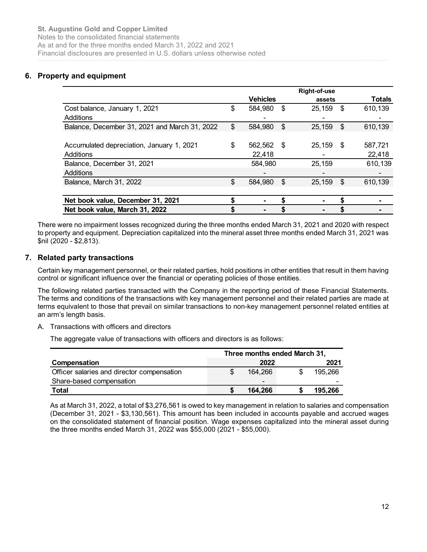Notes to the consolidated financial statements As at and for the three months ended March 31, 2022 and 2021 Financial disclosures are presented in U.S. dollars unless otherwise noted

#### 6. Property and equipment saha dan kalendar dan bagian dan bagian dari dari dari dan bagian dan bagian dan bagian dan bagian dan bagian da<br>Salah dan bagian dan bagian dan bagian dan bagian dan bagian dan bagian dan bagian dan bagian dan bagian dan

| <b>ustine Gold and Copper Limited</b><br>o the consolidated financial statements<br>nd for the three months ended March 31, 2022 and 2021<br>al disclosures are presented in U.S. dollars unless otherwise noted |                |                      |            |                     |                   |
|------------------------------------------------------------------------------------------------------------------------------------------------------------------------------------------------------------------|----------------|----------------------|------------|---------------------|-------------------|
|                                                                                                                                                                                                                  |                |                      |            |                     |                   |
|                                                                                                                                                                                                                  |                |                      |            |                     |                   |
|                                                                                                                                                                                                                  |                |                      |            |                     |                   |
|                                                                                                                                                                                                                  |                |                      |            |                     |                   |
|                                                                                                                                                                                                                  |                |                      |            |                     |                   |
| ty and equipment                                                                                                                                                                                                 |                |                      |            |                     |                   |
|                                                                                                                                                                                                                  |                |                      |            |                     |                   |
|                                                                                                                                                                                                                  |                |                      |            | <b>Right-of-use</b> |                   |
|                                                                                                                                                                                                                  |                | <b>Vehicles</b>      |            | assets              | <b>Totals</b>     |
| Cost balance, January 1, 2021                                                                                                                                                                                    | \$             | 584,980 \$           |            | $25,159$ \$         | 610,139           |
| Additions                                                                                                                                                                                                        |                |                      |            |                     |                   |
| Balance, December 31, 2021 and March 31, 2022                                                                                                                                                                    | \$             | 584,980              | $\sqrt{3}$ | 25,159 \$           | 610,139           |
| Accumulated depreciation, January 1, 2021                                                                                                                                                                        | \$             |                      |            |                     |                   |
| Additions                                                                                                                                                                                                        |                | 562,562 \$<br>22,418 |            | 25,159 \$           | 587,721<br>22,418 |
|                                                                                                                                                                                                                  |                | 584,980              |            | 25,159              | 610,139           |
|                                                                                                                                                                                                                  |                |                      |            |                     |                   |
| Balance, December 31, 2021                                                                                                                                                                                       |                |                      |            |                     |                   |
| Additions                                                                                                                                                                                                        |                |                      |            |                     |                   |
| Balance, March 31, 2022                                                                                                                                                                                          | $\mathfrak{S}$ | 584,980 \$           |            | $25,159$ \$         | 610,139           |
| Net book value, December 31, 2021                                                                                                                                                                                | \$             | ٠                    | \$         |                     | \$                |

# 7. Related party transactions

A. Transactions with officers and directors

| Net book value, December 31, 2021                                                                                                                                                                                                                      |                              |               |  |
|--------------------------------------------------------------------------------------------------------------------------------------------------------------------------------------------------------------------------------------------------------|------------------------------|---------------|--|
| Net book value, March 31, 2022                                                                                                                                                                                                                         |                              |               |  |
| re were no impairment losses recognized during the three months ended March 31, 2021 and 2020 with respect<br>roperty and equipment. Depreciation capitalized into the mineral asset three months ended March 31, 2021 was<br>$(2020 - $2,813)$ .      |                              |               |  |
| ated party transactions                                                                                                                                                                                                                                |                              |               |  |
| tain key management personnel, or their related parties, hold positions in other entities that result in them having<br>trol or significant influence over the financial or operating policies of those entities.                                      |                              |               |  |
| following related parties transacted with the Company in the reporting period of these Financial Statements.                                                                                                                                           |                              |               |  |
| terms and conditions of the transactions with key management personnel and their related parties are made at<br>ns equivalent to those that prevail on similar transactions to non-key management personnel related entities at<br>arm's length basis. |                              |               |  |
| Transactions with officers and directors                                                                                                                                                                                                               |                              |               |  |
| The aggregate value of transactions with officers and directors is as follows:                                                                                                                                                                         |                              |               |  |
|                                                                                                                                                                                                                                                        | Three months ended March 31, |               |  |
| Compensation                                                                                                                                                                                                                                           | 2022                         | 2021          |  |
| Officer salaries and director compensation<br>Share-based compensation                                                                                                                                                                                 | \$<br>164,266                | \$<br>195,266 |  |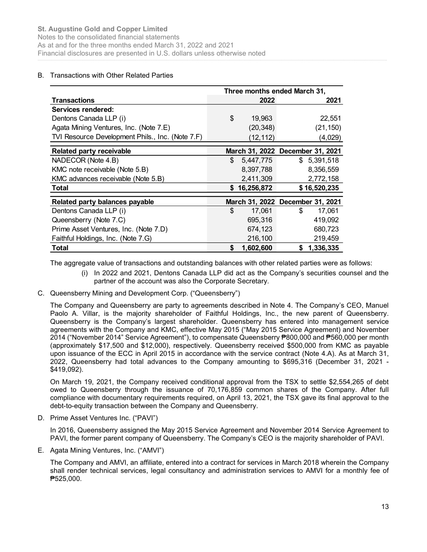Notes to the consolidated financial statements As at and for the three months ended March 31, 2022 and 2021 Financial disclosures are presented in U.S. dollars unless otherwise noted

# B. Transactions with Other Related Parties

| <b>Augustine Gold and Copper Limited</b>              |                                                                         |                                                           |  |  |  |
|-------------------------------------------------------|-------------------------------------------------------------------------|-----------------------------------------------------------|--|--|--|
| es to the consolidated financial statements           |                                                                         |                                                           |  |  |  |
|                                                       |                                                                         | at and for the three months ended March 31, 2022 and 2021 |  |  |  |
|                                                       |                                                                         |                                                           |  |  |  |
|                                                       | ancial disclosures are presented in U.S. dollars unless otherwise noted |                                                           |  |  |  |
|                                                       |                                                                         |                                                           |  |  |  |
| <b>Transactions with Other Related Parties</b>        |                                                                         |                                                           |  |  |  |
|                                                       | Three months ended March 31,                                            |                                                           |  |  |  |
| <b>Transactions</b>                                   | 2022                                                                    | 2021                                                      |  |  |  |
| Services rendered:                                    |                                                                         |                                                           |  |  |  |
| Dentons Canada LLP (i)                                | \$<br>19,963                                                            | 22,551                                                    |  |  |  |
| Agata Mining Ventures, Inc. (Note 7.E)                | (20, 348)                                                               | (21, 150)                                                 |  |  |  |
| TVI Resource Development Phils., Inc. (Note 7.F)      | (12, 112)                                                               | (4,029)                                                   |  |  |  |
|                                                       | March 31, 2022 December 31, 2021                                        |                                                           |  |  |  |
| <b>Related party receivable</b><br>NADECOR (Note 4.B) | \$<br>5,447,775                                                         | \$5,391,518                                               |  |  |  |
| KMC note receivable (Note 5.B)                        | 8,397,788                                                               | 8,356,559                                                 |  |  |  |
| KMC advances receivable (Note 5.B)                    | 2,411,309                                                               | 2,772,158                                                 |  |  |  |
| <b>Total</b>                                          | \$16,256,872                                                            | \$16,520,235                                              |  |  |  |
|                                                       |                                                                         |                                                           |  |  |  |
| Related party balances payable                        | March 31, 2022 December 31, 2021                                        |                                                           |  |  |  |
| Dentons Canada LLP (i)                                | \$<br>17,061                                                            | \$<br>17,061                                              |  |  |  |
| Queensberry (Note 7.C)                                | 695,316                                                                 | 419,092                                                   |  |  |  |
| Prime Asset Ventures, Inc. (Note 7.D)                 | 674,123                                                                 | 680,723                                                   |  |  |  |
|                                                       | 216,100<br>\$<br>1,602,600                                              | 219,459                                                   |  |  |  |
| Faithful Holdings, Inc. (Note 7.G)<br><b>Total</b>    |                                                                         | \$1,336,335                                               |  |  |  |

- (i) In 2022 and 2021, Dentons Canada LLP did act as the Company's securities counsel and the partner of the account was also the Corporate Secretary.
- C. Queensberry Mining and Development Corp. ("Queensberry")

The Company and Queensberry are party to agreements described in Note 4. The Company's CEO, Manuel Paolo A. Villar, is the majority shareholder of Faithful Holdings, Inc., the new parent of Queensberry. Queensberry is the Company's largest shareholder. Queensberry has entered into management service agreements with the Company and KMC, effective May 2015 ("May 2015 Service Agreement) and November 2014 ("November 2014" Service Agreement"), to compensate Queensberry ₱800,000 and ₱560,000 per month (approximately \$17,500 and \$12,000), respectively. Queensberry received \$500,000 from KMC as payable upon issuance of the ECC in April 2015 in accordance with the service contract (Note 4.A). As at March 31, 2022, Queensberry had total advances to the Company amounting to \$695,316 (December 31, 2021 - \$419,092).

On March 19, 2021, the Company received conditional approval from the TSX to settle \$2,554,265 of debt owed to Queensberry through the issuance of 70,176,859 common shares of the Company. After full compliance with documentary requirements required, on April 13, 2021, the TSX gave its final approval to the debt-to-equity transaction between the Company and Queensberry.

D. Prime Asset Ventures Inc. ("PAVI")

In 2016, Queensberry assigned the May 2015 Service Agreement and November 2014 Service Agreement to PAVI, the former parent company of Queensberry. The Company's CEO is the majority shareholder of PAVI.

E. Agata Mining Ventures, Inc. ("AMVI")

The Company and AMVI, an affiliate, entered into a contract for services in March 2018 wherein the Company shall render technical services, legal consultancy and administration services to AMVI for a monthly fee of ₱525,000.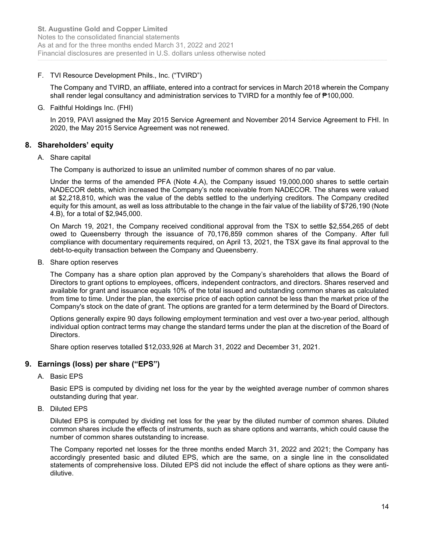# F. TVI Resource Development Phils., Inc. ("TVIRD")

The Company and TVIRD, an affiliate, entered into a contract for services in March 2018 wherein the Company shall render legal consultancy and administration services to TVIRD for a monthly fee of ₱100,000.

# G. Faithful Holdings Inc. (FHI)

In 2019, PAVI assigned the May 2015 Service Agreement and November 2014 Service Agreement to FHI. In 2020, the May 2015 Service Agreement was not renewed.

# 8. Shareholders' equity

# A. Share capital

The Company is authorized to issue an unlimited number of common shares of no par value.

Under the terms of the amended PFA (Note 4.A), the Company issued 19,000,000 shares to settle certain NADECOR debts, which increased the Company's note receivable from NADECOR. The shares were valued at \$2,218,810, which was the value of the debts settled to the underlying creditors. The Company credited equity for this amount, as well as loss attributable to the change in the fair value of the liability of \$726,190 (Note 4.B), for a total of \$2,945,000.

On March 19, 2021, the Company received conditional approval from the TSX to settle \$2,554,265 of debt owed to Queensberry through the issuance of 70,176,859 common shares of the Company. After full compliance with documentary requirements required, on April 13, 2021, the TSX gave its final approval to the debt-to-equity transaction between the Company and Queensberry.

B. Share option reserves

The Company has a share option plan approved by the Company's shareholders that allows the Board of Directors to grant options to employees, officers, independent contractors, and directors. Shares reserved and available for grant and issuance equals 10% of the total issued and outstanding common shares as calculated from time to time. Under the plan, the exercise price of each option cannot be less than the market price of the Company's stock on the date of grant. The options are granted for a term determined by the Board of Directors.

Options generally expire 90 days following employment termination and vest over a two-year period, although individual option contract terms may change the standard terms under the plan at the discretion of the Board of Directors.

Share option reserves totalled \$12,033,926 at March 31, 2022 and December 31, 2021.

# 9. Earnings (loss) per share ("EPS")

A. Basic EPS

Basic EPS is computed by dividing net loss for the year by the weighted average number of common shares outstanding during that year.

B. Diluted EPS

Diluted EPS is computed by dividing net loss for the year by the diluted number of common shares. Diluted common shares include the effects of instruments, such as share options and warrants, which could cause the number of common shares outstanding to increase.

The Company reported net losses for the three months ended March 31, 2022 and 2021; the Company has accordingly presented basic and diluted EPS, which are the same, on a single line in the consolidated statements of comprehensive loss. Diluted EPS did not include the effect of share options as they were antidilutive.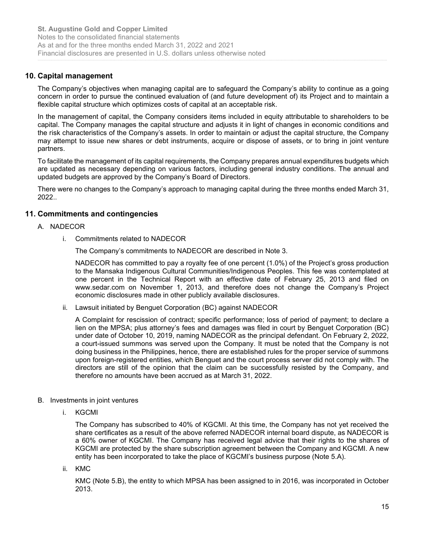# 10. Capital management

The Company's objectives when managing capital are to safeguard the Company's ability to continue as a going concern in order to pursue the continued evaluation of (and future development of) its Project and to maintain a flexible capital structure which optimizes costs of capital at an acceptable risk.

In the management of capital, the Company considers items included in equity attributable to shareholders to be capital. The Company manages the capital structure and adjusts it in light of changes in economic conditions and the risk characteristics of the Company's assets. In order to maintain or adjust the capital structure, the Company may attempt to issue new shares or debt instruments, acquire or dispose of assets, or to bring in joint venture partners.

To facilitate the management of its capital requirements, the Company prepares annual expenditures budgets which are updated as necessary depending on various factors, including general industry conditions. The annual and updated budgets are approved by the Company's Board of Directors.

There were no changes to the Company's approach to managing capital during the three months ended March 31, 2022..

# 11. Commitments and contingencies

#### A. NADECOR

i. Commitments related to NADECOR

The Company's commitments to NADECOR are described in Note 3.

NADECOR has committed to pay a royalty fee of one percent (1.0%) of the Project's gross production to the Mansaka Indigenous Cultural Communities/Indigenous Peoples. This fee was contemplated at one percent in the Technical Report with an effective date of February 25, 2013 and filed on www.sedar.com on November 1, 2013, and therefore does not change the Company's Project economic disclosures made in other publicly available disclosures.

ii. Lawsuit initiated by Benguet Corporation (BC) against NADECOR

A Complaint for rescission of contract; specific performance; loss of period of payment; to declare a lien on the MPSA; plus attorney's fees and damages was filed in court by Benguet Corporation (BC) under date of October 10, 2019, naming NADECOR as the principal defendant. On February 2, 2022, a court-issued summons was served upon the Company. It must be noted that the Company is not doing business in the Philippines, hence, there are established rules for the proper service of summons upon foreign-registered entities, which Benguet and the court process server did not comply with. The directors are still of the opinion that the claim can be successfully resisted by the Company, and therefore no amounts have been accrued as at March 31, 2022.

- B. Investments in joint ventures
	- i. KGCMI

The Company has subscribed to 40% of KGCMI. At this time, the Company has not yet received the share certificates as a result of the above referred NADECOR internal board dispute, as NADECOR is a 60% owner of KGCMI. The Company has received legal advice that their rights to the shares of KGCMI are protected by the share subscription agreement between the Company and KGCMI. A new entity has been incorporated to take the place of KGCMI's business purpose (Note 5.A).

ii. KMC

KMC (Note 5.B), the entity to which MPSA has been assigned to in 2016, was incorporated in October 2013.